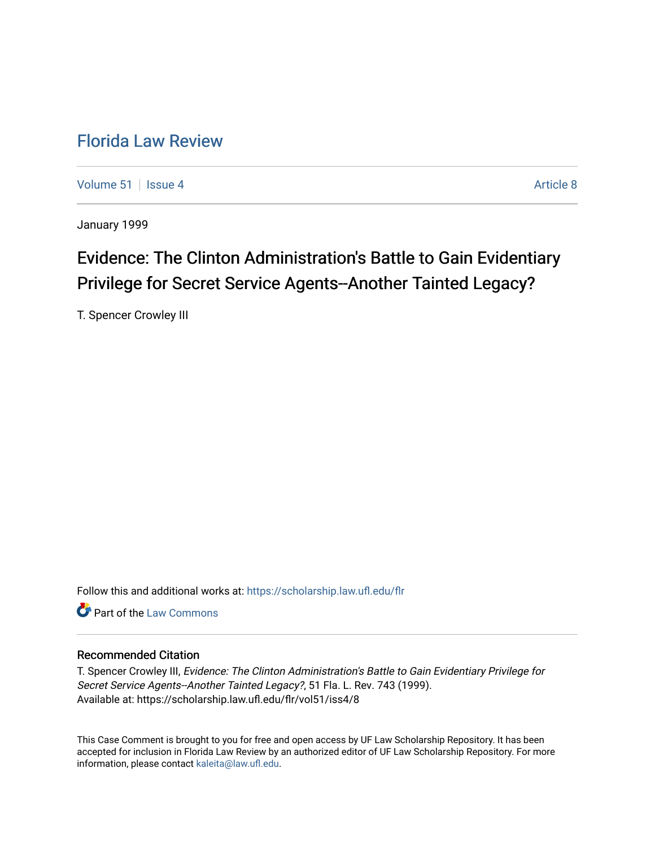## [Florida Law Review](https://scholarship.law.ufl.edu/flr)

[Volume 51](https://scholarship.law.ufl.edu/flr/vol51) | [Issue 4](https://scholarship.law.ufl.edu/flr/vol51/iss4) Article 8

January 1999

## Evidence: The Clinton Administration's Battle to Gain Evidentiary Privilege for Secret Service Agents--Another Tainted Legacy?

T. Spencer Crowley III

Follow this and additional works at: [https://scholarship.law.ufl.edu/flr](https://scholarship.law.ufl.edu/flr?utm_source=scholarship.law.ufl.edu%2Fflr%2Fvol51%2Fiss4%2F8&utm_medium=PDF&utm_campaign=PDFCoverPages)

**C** Part of the [Law Commons](http://network.bepress.com/hgg/discipline/578?utm_source=scholarship.law.ufl.edu%2Fflr%2Fvol51%2Fiss4%2F8&utm_medium=PDF&utm_campaign=PDFCoverPages)

### Recommended Citation

T. Spencer Crowley III, Evidence: The Clinton Administration's Battle to Gain Evidentiary Privilege for Secret Service Agents--Another Tainted Legacy?, 51 Fla. L. Rev. 743 (1999). Available at: https://scholarship.law.ufl.edu/flr/vol51/iss4/8

This Case Comment is brought to you for free and open access by UF Law Scholarship Repository. It has been accepted for inclusion in Florida Law Review by an authorized editor of UF Law Scholarship Repository. For more information, please contact [kaleita@law.ufl.edu.](mailto:kaleita@law.ufl.edu)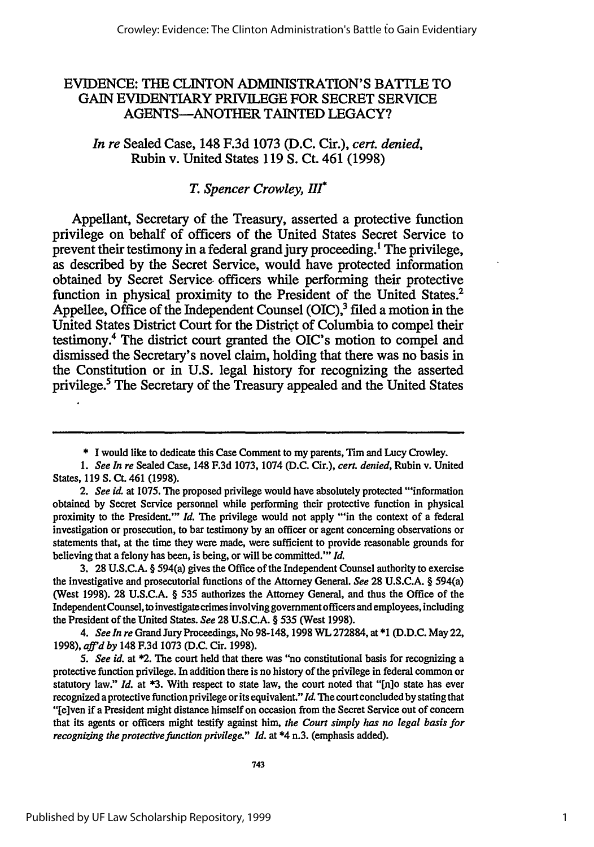## EVIDENCE: THE CLINTON ADMINISTRATION'S BATTLE TO GAIN EVIDENTIARY PRIVILEGE FOR SECRET SERVICE AGENTS-ANOTHER TAINTED LEGACY?

### *In re* Sealed Case, 148 F.3d 1073 (D.C. Cir.), *cert. denied,* Rubin v. United States 119 **S.** Ct. 461 (1998)

## *T. Spencer Crowley, Hr*

Appellant, Secretary of the Treasury, asserted a protective function privilege on behalf of officers of the United States Secret Service to prevent their testimony in a federal grand jury proceeding.' The privilege, as described by the Secret Service, would have protected information obtained by Secret Service. officers while performing their protective function in physical proximity to the President of the United States.<sup>2</sup> Appellee, Office of the Independent Counsel (OIC),<sup>3</sup> filed a motion in the United States District Court for the District of Columbia to compel their testimony.4 The district court granted the OIC's motion to compel and dismissed the Secretary's novel claim, holding that there was no basis in the Constitution or in U.S. legal history for recognizing the asserted privilege.5 The Secretary of the Treasury appealed and the United States

3. **28** U.S.C.A. § 594(a) gives the Office of the Independent Counsel authority to exercise the investigative and prosecutorial functions of the Attorney General. *See* **28** U.S.C.A. § 594(a) (West 1998). 28 U.S.C.A. § 535 authorizes the Attorney General, and thus the Office of the Independent Counsel, to investigate crimes involving government officers and employees, including the President of the United States. *See* 28 U.S.C.A. § 535 (West 1998).

*4. See In re* Grand Jury Proceedings, No 98-148, 1998 WL 272884, at \*1 (D.D.C. May 22, 1998), *affd by* 148 F.3d 1073 (D.C. Cir. 1998).

*5. See id.* at \*2. The court held that there was "no constitutional basis for recognizing a protective function privilege. In addition there is no history of the privilege in federal common or statutory law." *Id.* at **\*3.** With respect to state law, the court noted that "[n]o state has ever recognized a protective function privilege or its equivalent." *Id.* The court concluded by stating that "[e]ven if a President might distance himself on occasion from the Secret Service out of concern that its agents or officers might testify against him, *the Court simply has no legal basis for recognizing the protective function privilege.*" *Id.* at \*4 n.3. (emphasis added).

<sup>\*</sup> I would like to dedicate this Case Comment to my parents, Tim and Lucy Crowley.

*<sup>1.</sup> See In re* Sealed Case, 148 F.3d 1073, 1074 (D.C. Cir.), *cert. denied,* Rubin v. United States, 119 S. Ct. 461 (1998).

*<sup>2.</sup> See id.* at 1075. The proposed privilege would have absolutely protected "'information obtained by Secret Service personnel while performing their protective function in physical proximity to the President.'" *Id*. The privilege would not apply "in the context of a federal investigation or prosecution, to bar testimony by an officer or agent concerning observations or statements that, at the time they were made, were sufficient to provide reasonable grounds for believing that a felony has been, is being, or will be committed."' *Id.*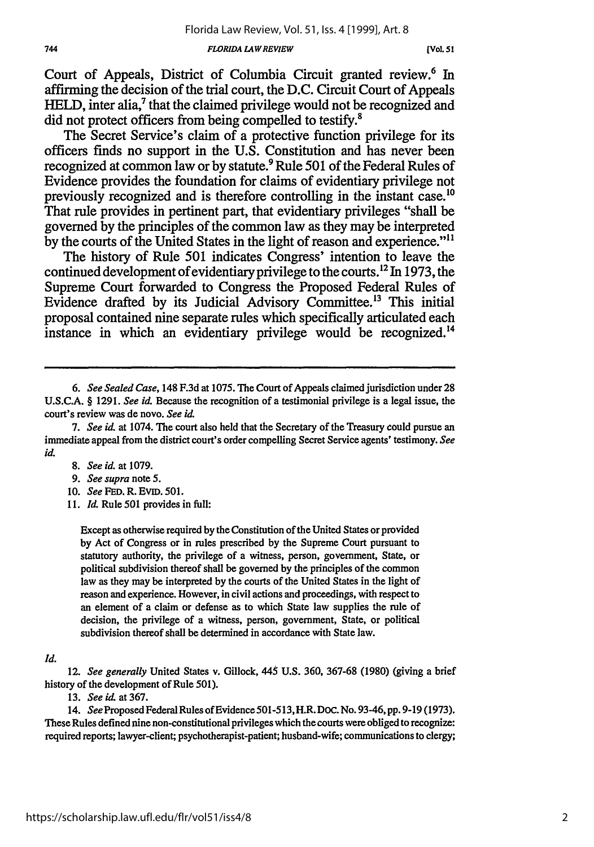#### *FLORIDA LAWREVIEW*

Court of Appeals, District of Columbia Circuit granted review.<sup>6</sup> In affirming the decision of the trial court, the **D.C.** Circuit Court of Appeals HELD, inter alia,<sup>7</sup> that the claimed privilege would not be recognized and did not protect officers from being compelled to testify.<sup>8</sup>

The Secret Service's claim of a protective function privilege for its officers finds no support in the **U.S.** Constitution and has never been recognized at common law or **by** statute.9 Rule **501** of the Federal Rules of Evidence provides the foundation for claims of evidentiary privilege not previously recognized and is therefore controlling in the instant case.'0 That rule provides in pertinent part, that evidentiary privileges "shall be governed **by** the principles of the common law as they may **be** interpreted by the courts of the United States in the light of reason and experience."<sup>11</sup>

The history of Rule **501** indicates Congress' intention to leave the continued development of evidentiary privilege to the courts.<sup>12</sup> In 1973, the Supreme Court forwarded to Congress the Proposed Federal Rules of Evidence drafted by its Judicial Advisory Committee.<sup>13</sup> This initial proposal contained nine separate rules which specifically articulated each instance in which an evidentiary privilege would be recognized.<sup>14</sup>

- *9. See supra note* **5.**
- 10. *See* FED. R. EviD. 501.
- 11. *Id.* Rule 501 provides in full:

Except as otherwise required **by** the Constitution of the United States or provided by Act of Congress or in rules prescribed by the Supreme Court pursuant to statutory authority, the privilege of a witness, person, government, State, or political subdivision thereof shall be governed **by** the principles of the common law as they may be interpreted by the courts of the United States in the light of reason and experience. However, in civil actions and proceedings, with respect to an element of a claim or defense as to which State law supplies the rule of decision, the privilege of a witness, person, government, State, or political subdivision thereof shall be determined in accordance with State law.

#### *Id.*

12. *See generally* United States v. Gillock, 445 **U.S.** 360, 367-68 (1980) (giving a brief history of the development of Rule 501).

13. *See id.* at367.

14. *See* Proposed Federal Rules of Evidence 501-513,H.R. **Doc.** No. 93-46, pp. 9-19 (1973). These Rules defined nine non-constitutional privileges which the courts were obliged to recognize: required reports; lawyer-client; psychotherapist-patient; husband-wife; communications to clergy;

*<sup>6.</sup> See Sealed Case,* 148 F.3d at 1075. The Court of Appeals claimed jurisdiction under 28 U.S.C.A. § 1291. *See id.* Because the recognition of a testimonial privilege is a legal issue, the court's review was de novo. *See id.*

*<sup>7.</sup> See id.* at 1074. The court also held that the Secretary of the Treasury could pursue an immediate appeal from the district court's order compelling Secret Service agents' testimony. *See id.*

*<sup>8.</sup> See id.* at 1079.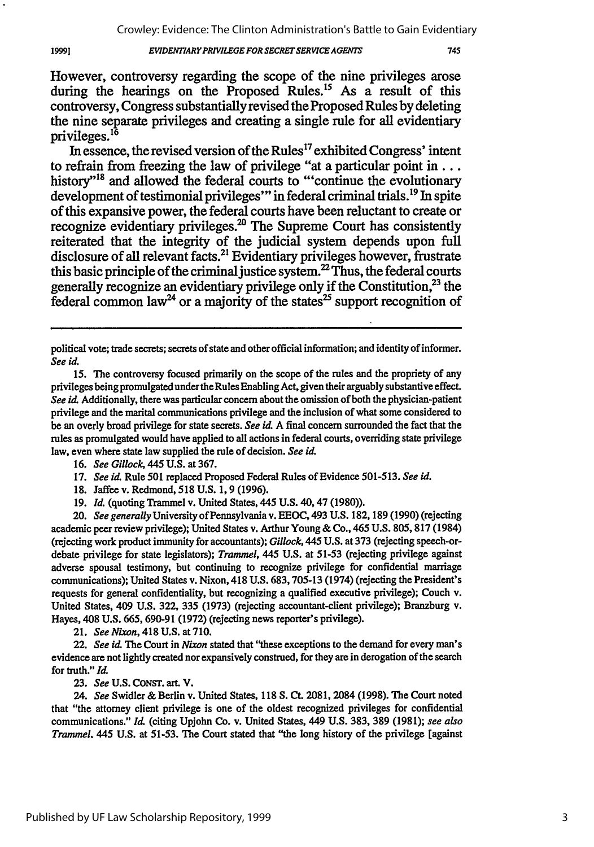#### *EVIDFNT7ARYPRIVILEGE FOR SECRETSERVCEAGEWTS*

However, controversy regarding the scope of the nine privileges arose during the hearings on the Proposed Rules.<sup>15</sup> As a result of this controversy, Congress substantially revised the Proposed Rules by deleting the nine separate privileges and creating a single rule for all evidentiary privileges.<sup>16</sup>

In essence, the revised version of the Rules<sup>17</sup> exhibited Congress' intent to refrain from freezing the law of privilege "at a particular point **in...** history"<sup>18</sup> and allowed the federal courts to "'continue the evolutionary development of testimonial privileges"' in federal criminal trials.19 In spite of this expansive power, the federal courts have been reluctant to create or recognize evidentiary privileges.<sup>20</sup> The Supreme Court has consistently reiterated that the integrity of the judicial system depends upon full disclosure of all relevant facts.<sup>21</sup> Evidentiary privileges however, frustrate this basic principle of the criminal justice system.<sup>22</sup> Thus, the federal courts generally recognize an evidentiary privilege only if the Constitution, $^{23}$  the federal common law<sup>24</sup> or a majority of the states<sup>25</sup> support recognition of

1999]

21. *See Nixon,* 418 U.S. at 710.

**23.** *See* **U.S. CONsT.** art. V.

political vote; trade secrets; secrets of state and other official information; and identity of informer. *See id.*

<sup>15.</sup> The controversy focused primarily on the scope of the rules and the propriety of any privileges being promulgated under the Rules Enabling Act, given their arguably substantive effect. *See id.* Additionally, there was particular concern about the omission of both the physician-patient privilege and the marital communications privilege and the inclusion of what some considered to be an overly broad privilege for state secrets. *See id.* A final concern surrounded the fact that the rules as promulgated would have applied to all actions in federal courts, overriding state privilege law, even where state law supplied the rule of decision. *See id.*

<sup>16.</sup> *See Gillock,* 445 U.S. at 367.

<sup>17.</sup> *See i&* Rule 501 replaced Proposed Federal Rules of Evidence 501-513. *See id.*

<sup>18.</sup> Jaffee v. Redmond, **518** U.S. 1, 9 (1996).

<sup>19.</sup> *Id.* (quoting Trammel v. United States, 445 U.S. 40,47 (1980)).

<sup>20.</sup> *See generally* University of Pennsylvania v. **EEOC,** 493 **U.S.** 182,189 (1990) (rejecting academic peer review privilege); United States v. Arthur Young & Co., 465 U.S. 805, 817 (1984) (rejecting work product immunity for accountants); *Gillock,* 445 U.S. at 373 (rejecting speech-ordebate privilege for state legislators); *Trammel,* 445 **U.S.** at 51-53 (rejecting privilege against adverse spousal testimony, but continuing to recognize privilege for confidential marriage communications); United States v. Nixon, 418 **U.S.** 683,705-13 (1974) (rejecting the President's requests for general confidentiality, but recognizing a qualified executive privilege); Couch v. United States, 409 **U.S.** 322, **335** (1973) (rejecting accountant-client privilege); Branzburg v. Hayes, 408 U.S. 665, 690-91 (1972) (rejecting news reporter's privilege).

<sup>22.</sup> *See id.* The Court in *Nixon* stated that "these exceptions to the demand for every man's evidence are not lightly created nor expansively construed, for they are in derogation of the search for truth." *Id.*

*<sup>24.</sup> See* Swidler & Berlin v. United States, 118 **S. Ct.** 2081, 2084 (1998). The Court noted that "the attorney client privilege is one of the oldest recognized privileges for confidential communications." *Id* (citing Upjohn Co. v. United States, 449 U.S. 383, 389 (1981); *see also Trammel.* 445 U.S. at 51-53. The Court stated that "the long history of the privilege [against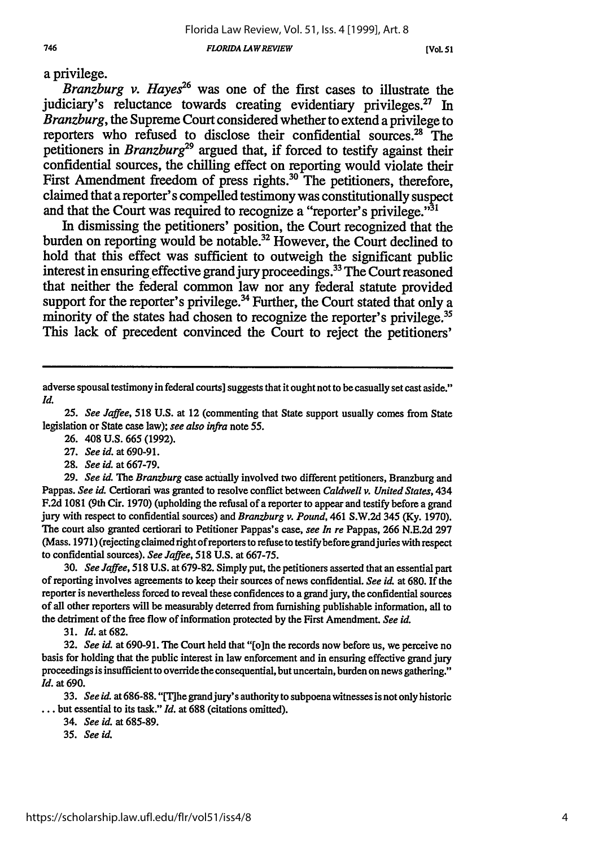*FLORIDA LAW REVIEW*

**[VOL 51**

a privilege.

*Branzburg v. Hayes*<sup>26</sup> was one of the first cases to illustrate the judiciary's reluctance towards creating evidentiary privileges.<sup>27</sup> In *Branzburg,* the Supreme Court considered whether to extend a privilege to reporters who refused to disclose their confidential sources.<sup>28</sup> The petitioners in *Branzburg29* argued that, if forced to testify against their confidential sources, the chilling effect on reporting would violate their First Amendment freedom of press rights.<sup>30</sup> The petitioners, therefore, claimed that a reporter's compelled testimony was constitutionally suspect and that the Court was required to recognize a "reporter's privilege."<sup>31</sup>

In dismissing the petitioners' position, the Court recognized that the burden on reporting would be notable.<sup>32</sup> However, the Court declined to hold that this effect was sufficient to outweigh the significant public interest in ensuring effective grand jury proceedings. 33 The Court reasoned that neither the federal common law nor any federal statute provided support for the reporter's privilege.<sup>34</sup> Further, the Court stated that only a minority of the states had chosen to recognize the reporter's privilege.<sup>35</sup> This lack of precedent convinced the Court to reject the petitioners'

26. 408 U.S. 665 (1992).

**27.** *See id.* at 690-91.

28. *See id.* at 667-79.

29. *See id. The Branzburg* case actually involved two different petitioners, Branzburg and Pappas. *See id.* Certiorari was granted to resolve conflict between *Caldwell v. United States,* 434 F.2d 1081 (9th Cir. 1970) (upholding the refusal of a reporter to appear and testify before a grand jury with respect to confidential sources) and *Branzburg v. Pound,* 461 S.W.2d 345 (Ky. 1970). The court also granted certiorari to Petitioner Pappas's case, *see In re* Pappas, **266 N.E.2d 297** (Mass. 1971) (rejecting claimed right of reporters to refuse to testify before grandjuries with respect to confidential sources). *See Jaffee,* 518 U.S. at 667-75.

30. *See Jaffee,* 518 U.S. at 679-82. Simply put, the petitioners asserted that an essential part of reporting involves agreements to keep their sources of news confidential. *See id.* at 680. If the reporter is nevertheless forced to reveal these confidences to a grand jury, the confidential sources of all other reporters will be measurably deterred from furnishing publishable information, all to the detriment of the free flow of information protected by the First Amendment. *See id.*

31. Id. at 682.

**32.** *See id.* at 690-91. The Court held that "[oin the records now before us, we perceive no basis for holding that the public interest in law enforcement and in ensuring effective grand jury proceedings is insufficient to override the consequential, but uncertain, burden on news gathering." *Id.* at 690.

33. *See id.* at 686-88. "IThe grandjury's authority to subpoena witnesses is not only historic ... but essential to its task." *Id.* at 688 (citations omitted).

34. *See id.* at 685-89.

*35. See id.*

adverse spousal testimony in federal courts] suggests that it ought not to be casually set cast aside." *Id.*

*<sup>25.</sup> See Jaffee,* 518 **U.S.** at 12 (commenting that State support usually comes from State legislation or State case law); *see also infra* note 55.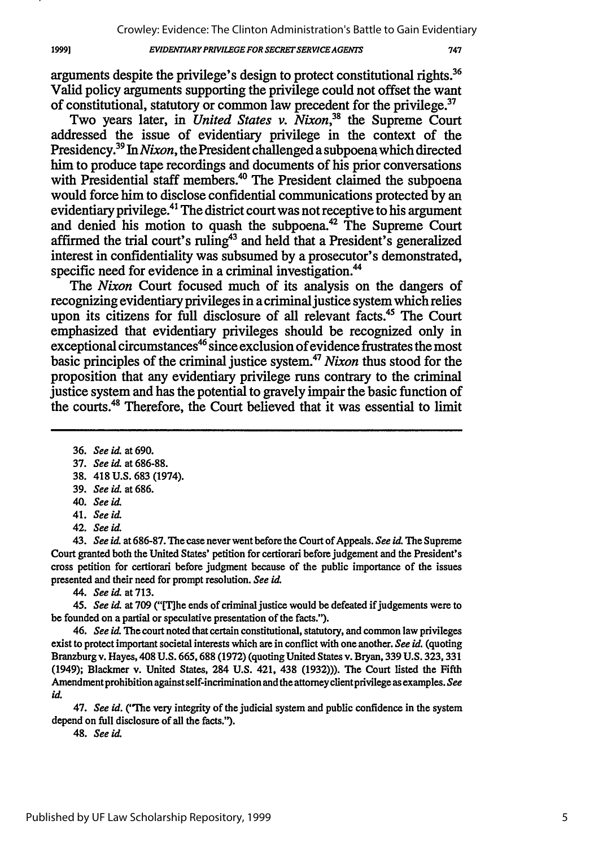#### *EVIDENTIARYPRIVILEGEFORSECRETSERVICEAGFEN7S*

arguments despite the privilege's design to protect constitutional rights.36 Valid policy arguments supporting the privilege could not offset the want of constitutional, statutory or common law precedent for the privilege.

Two years later, in *United States v. Nixon*<sup>38</sup> the Supreme Court addressed the issue of evidentiary privilege in the context of the Presidency.39 In *Nixon,* the President challenged a subpoena which directed him to produce tape recordings and documents of his prior conversations with Presidential staff members.<sup>40</sup> The President claimed the subpoena would force him to disclose confidential communications protected by an evidentiary privilege.41 The district court was not receptive to his argument and denied his motion to quash the subpoena.<sup>42</sup> The Supreme Court affirmed the trial court's ruling<sup>43</sup> and held that a President's generalized interest in confidentiality was subsumed by a prosecutor's demonstrated, specific need for evidence in a criminal investigation.<sup>44</sup>

The *Nixon* Court focused much of its analysis on the dangers of recognizing evidentiary privileges in a criminal justice system which relies upon its citizens for full disclosure of all relevant facts.45 The Court emphasized that evidentiary privileges should be recognized only in exceptional circumstances<sup>46</sup> since exclusion of evidence frustrates the most basic principles of the criminal justice system. *Nixon* thus stood for the proposition that any evidentiary privilege runs contrary to the criminal justice system and has the potential to gravely impair the basic function of the courts.<sup>48</sup> Therefore, the Court believed that it was essential to limit

38. 418 U.S. 683 (1974).

42. *See id*

43. *See id.* at 686-87. The case never went before the Court of Appeals. *See id* The Supreme Court granted both the United States' petition for certiorari before judgement and the President's cross petition for certiorari before judgment because of the public importance of the issues presented and their need for prompt resolution. *See id*

*44. See id* at713.

45. See id. at 709 ("[T]he ends of criminal justice would be defeated if judgements were to be founded on a partial or speculative presentation of the facts.").

46. *See id.* The court noted that certain constitutional, statutory, and common law privileges exist to protect important societal interests which are in conflict with one another. *See id.* (quoting Branzburg v. Hayes, 408 **U.S.** 665,688 (1972) (quoting United States v. Bryan, 339 U.S. 323, 331 (1949); Blackmer v. United States, 284 U.S. 421, 438 (1932))). The Court listed the Fifth Amendment prohibition against self-incrimination and the attorneyeientprivilege as examples. *See id.*

47. *See id.* ("The very integrity of the judicial system and public confidence in the system depend on full disclosure of all the facts.").

48. *See id.*

19991

<sup>36.</sup> *See id* at 690.

<sup>37.</sup> *See id* at 686-88.

<sup>39.</sup> *See id.* at 686.

<sup>40.</sup> *See id*

<sup>41.</sup> *See id.*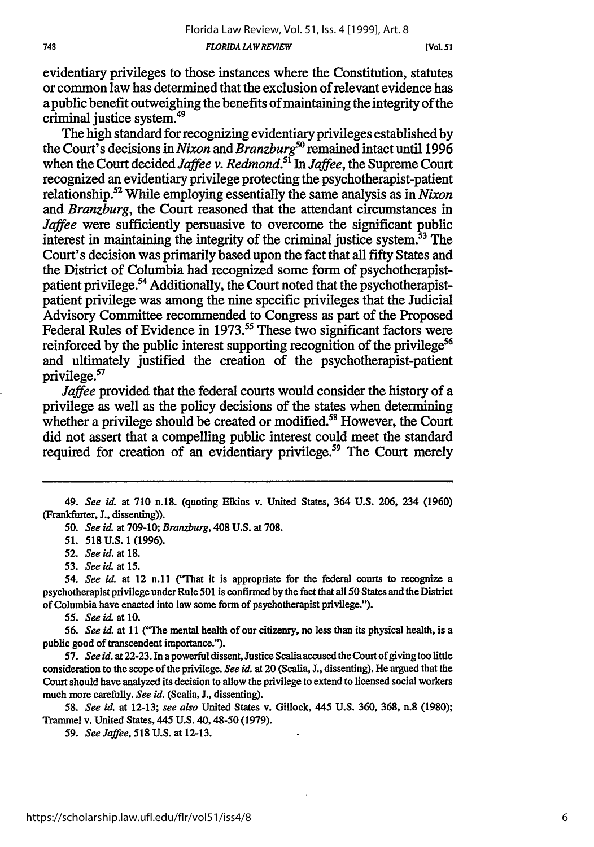evidentiary privileges to those instances where the Constitution, statutes or common law has determined that the exclusion of relevant evidence has apublic benefit outweighing the benefits of maintaining the integrity of the criminal justice system.<sup>49</sup>

The high standard for recognizing evidentiary privileges established by the Court's decisions in *Nixon* and *Branzburg*<sup>50</sup> remained intact until 1996 when the Court decided *Jaffee v. Redmond.51 In Jaffee,* the Supreme Court recognized an evidentiary privilege protecting the psychotherapist-patient relationship. 52 While employing essentially the same analysis as in *Nixon and Branzburg,* the Court reasoned that the attendant circumstances in *Jaffee* were sufficiently persuasive to overcome the significant public interest in maintaining the integrity of the criminal justice system.<sup>53</sup> The Court's decision was primarily based upon the fact that all fifty States and the District of Columbia had recognized some form of psychotherapistpatient privilege.<sup>54</sup> Additionally, the Court noted that the psychotherapistpatient privilege was among the nine specific privileges that the Judicial Advisory Committee recommended to Congress as part of the Proposed Federal Rules of Evidence in 1973.<sup>55</sup> These two significant factors were reinforced by the public interest supporting recognition of the privilege<sup>56</sup> and ultimately justified the creation of the psychotherapist-patient privilege.<sup>57</sup>

*Jaffee* provided that the federal courts would consider the history of a privilege as well as the policy decisions of the states when determining whether a privilege should be created or modified.<sup>58</sup> However, the Court did not assert that a compelling public interest could meet the standard required for creation of an evidentiary privilege.<sup>59</sup> The Court merely

*55. See id.* at **10.**

*56. See id.* at 11 ("The mental health of our citizenry, no less than its physical health, is a public good of transcendent importance.").

57. *See id.* at 22-23. In a powerful dissent, Justice Scalia accused the Court of giving too little consideration to the scope of the privilege. *See id.* at 20 (Scalia, **J.,** dissenting). He argued that the Court should have analyzed its decision to allow the privilege to extend to licensed social workers much more carefully. *See id.* (Scalia, L, dissenting).

*58. See id.* at 12-13; *see also* United States v. Gillock, 445 U.S. 360, 368, n.8 (1980); Trammel v. United States, 445 U.S. 40,48-50 (1979).

*59. See Jaffee,* 518 U.S. at 12-13.

<sup>49.</sup> *See* **id.** at 710 n.18. (quoting Elkins v. United States, 364 U.S. 206, 234 (1960) (Frankfurter, J., dissenting)).

*<sup>50.</sup> See id.* at 709-10; *Branzburg,* 408 U.S. at 708.

*<sup>51.</sup>* 518 U.S. 1 (1996).

*<sup>52.</sup> See id.* at **18.**

*<sup>53.</sup> See id. at l5.*

*<sup>54.</sup> See id.* at 12 n.11 ("That it is appropriate for the federal courts to recognize a psychotherapist privilege under Rule 501 is confirmed by the fact that all **50** States and the District of Columbia have enacted into law some form of psychotherapist privilege.").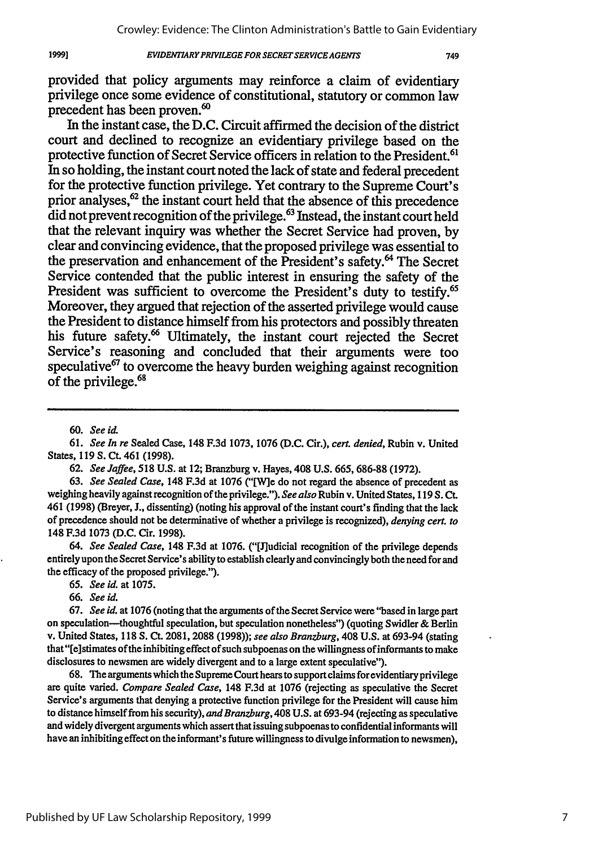#### *EVIDENTLARYPRIWLEGE FOR SECRET SERVICEAGENTS*

749

provided that policy arguments may reinforce a claim of evidentiary privilege once some evidence of constitutional, statutory or common law precedent has been proven.<sup>60</sup>

In the instant case, the **D.C.** Circuit affirmed the decision of the district court and declined to recognize an evidentiary privilege based on the protective function of Secret Service officers in relation to the President.<sup>61</sup> In so holding, the instant court noted the lack of state and federal precedent for the protective function privilege. Yet contrary to the Supreme Court's prior analyses,<sup>62</sup> the instant court held that the absence of this precedence  $\ddot{\text{did}}$  not prevent recognition of the privilege.<sup>63</sup> Instead, the instant court held that the relevant inquiry was whether the Secret Service had proven, **by** clear and convincing evidence, that the proposed privilege was essential to the preservation and enhancement of the President's safety.<sup>64</sup> The Secret Service contended that the public interest in ensuring the safety of the President was sufficient to overcome the President's duty to testify.<sup>65</sup> Moreover, they argued that rejection of the asserted privilege would cause the President to distance himself from his protectors and possibly threaten his future safety.<sup>66</sup> Ultimately, the instant court rejected the Secret Service's reasoning and concluded that their arguments were too speculative<sup>67</sup> to overcome the heavy burden weighing against recognition of the privilege.<sup>68</sup>

19991

61. *See In re* Sealed Case, 148 F.3d 1073, 1076 (D.C. Cir.), *cert. denied,* Rubin v. United States, 119 S. Ct. 461 (1998).

**62.** *See Jaffee,* **518** U.S. at 12; Branzburg v. Hayes, 408 U.S. **665,** 686-88 (1972).

63. *See Sealed Case,* 148 F.3d at 1076 ("[W]e do not regard the absence of precedent as weighing heavily against recognition of the privilege."). *See also* Rubin v. United States, 119 S. Ct. 461 (1998) (Breyer, L, dissenting) (noting his approval of the instant court's finding that the lack of precedence should not be determinative of whether a privilege is recognized), *denying cert. to* 148 F.3d 1073 (D.C. Cir. 1998).

*64. See Sealed Case,* 148 F.3d at 1076. ("[J]udicial recognition of the privilege depends entirely upon the Secret Service's ability to establish clearly and convincingly both the need for and the efficacy of the proposed privilege.").

*65. See* **id.** at **1075.**

66. *See id.*

**67.** *See id.* at 1076 (noting that the arguments of the Secret Service were "based in large part on speculation-thoughtful speculation, but speculation nonetheless") (quoting Swidler & Berlin v. United States, 118 **S. Ct.** 2081, 2088 (1998)); *see also Branzburg,* 408 U.S. at 693-94 (stating that "[e]stimates of the inhibiting effect of such subpoenas on the willingness of informants to make disclosures to newsmen are widely divergent and to a large extent speculative").

68. The arguments which the Supreme Court hears to support claims for evidentiary privilege are quite varied. *Compare Sealed Case,* 148 F.3d at 1076 (rejecting as speculative the Secret Service's arguments that denying a protective function privilege for the President will cause him to distance himself from his security), *and Branzburg,* 408 U.S. at 693-94 (rejecting as speculative and widely divergent arguments which assert that issuing subpoenas to confidential informants will have an inhibiting effect on the informant's future willingness to divulge information to newsmen),

*<sup>60.</sup> See* **id.**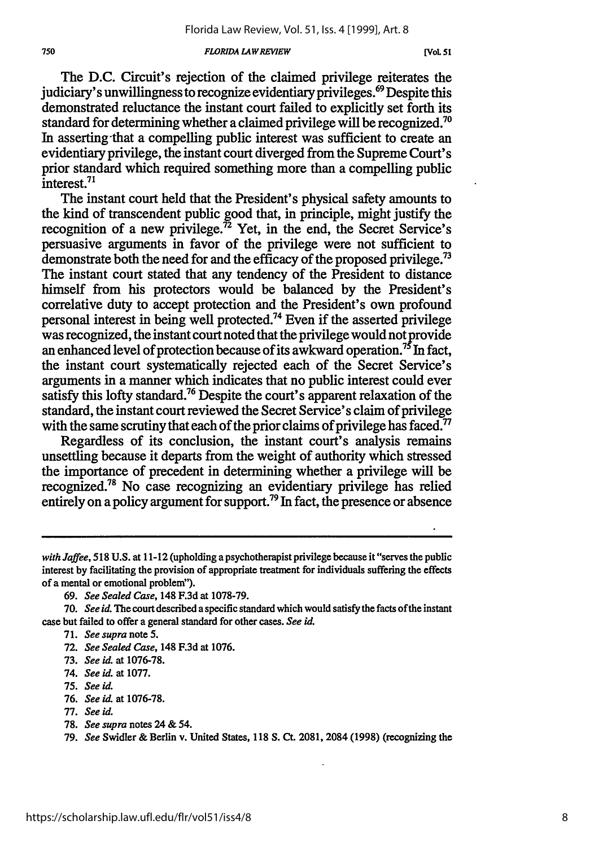#### **750** *FLORIDA LA WREVIEW* **[VOL 51**

The **D.C.** Circuit's rejection of the claimed privilege reiterates the judiciary's unwillingness to recognize evidentiary privileges.<sup>69</sup> Despite this demonstrated reluctance the instant court failed to explicitly set forth its standard for determining whether a claimed privilege will be recognized.<sup>70</sup> In asserting that a compelling public interest was sufficient to create an evidentiary privilege, the instant court diverged from the Supreme Court's prior standard which required something more than a compelling public interest.<sup>71</sup>

The instant court held that the President's physical safety amounts to the kind of transcendent public good that, in principle, might justify the recognition of a new privilege.<sup>72</sup> Yet, in the end, the Secret Service's persuasive arguments in favor of the privilege were not sufficient to demonstrate both the need for and the efficacy of the proposed privilege.<sup>73</sup> The instant court stated that any tendency of the President to distance himself from his protectors would be balanced by the President's correlative duty to accept protection and the President's own profound personal interest in being well protected.74 Even if the asserted privilege was recognized, the instant court noted that the privilege would not provide an enhanced level of protection because of its awkward operation.<sup>75</sup> In fact, the instant court systematically rejected each of the Secret Service's arguments in a manner which indicates that no public interest could ever satisfy this lofty standard.<sup>76</sup> Despite the court's apparent relaxation of the standard, the instant court reviewed the Secret Service's claim of privilege with the same scrutiny that each of the prior claims of privilege has faced.<sup>77</sup>

Regardless of its conclusion, the instant court's analysis remains unsettling because it departs from the weight of authority which stressed the importance of precedent in determining whether a privilege will be recognized.<sup>78</sup> No case recognizing an evidentiary privilege has relied entirely on a policy argument for support.<sup>79</sup> In fact, the presence or absence

69. *See Sealed Case,* 148 F.3d at 1078-79.

- 73. *See id.* at 1076-78.
- 74. *See id.* at 1077.
- 75. *See id.*
- 76. *See id.* at 1076-78.
- 77. *See id.*
- 78. *See supra* notes 24 & *54.*

**79.** *See* Swidler & Berlin v. United States, **118 S.** Ct. **2081,** 2084 **(1998)** (recognizing the

*with Jaffee,* 518 U.S. at 11-12 (upholding a psychotherapist privilege because it "serves the public interest by facilitating the provision of appropriate treatment for individuals suffering the effects of a mental or emotional problem").

<sup>70.</sup> *See id. The* court described a specific standard which would *satisfy* the facts of the instant case but failed to offer a general standard for other cases. *See id.*

<sup>71.</sup> *See supra* note **5.**

<sup>72.</sup> *See Sealed Case,* 148 F.3d at 1076.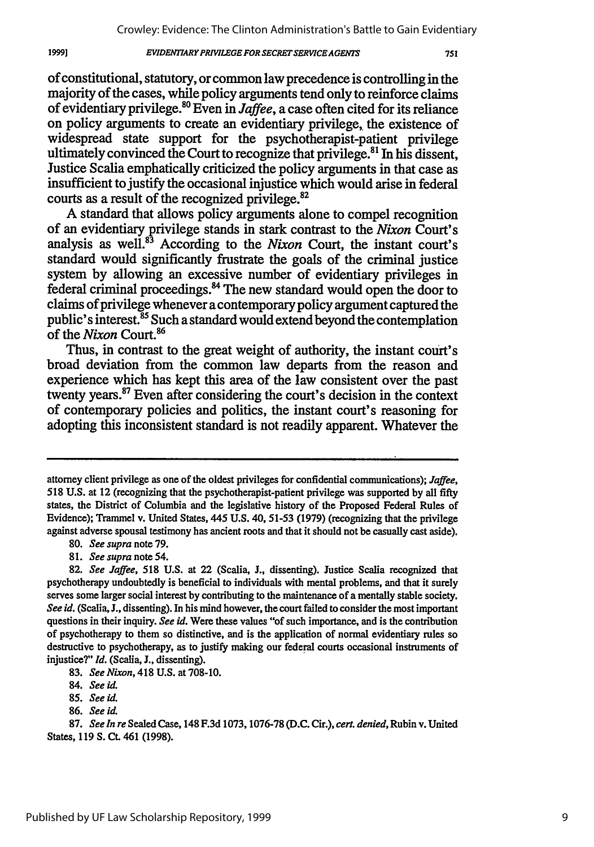#### **EVIDENTIARY PRIVILEGE FOR SECRET SERVICE AGENTS**

of constitutional, statutory, or common law precedence is controlling in the majority of the cases, while policy arguments tend only to reinforce claims of evidentiary privilege.<sup>80</sup> Even in *Jaffee*, a case often cited for its reliance on policy arguments to create an evidentiary privilege, the existence of widespread state support for the psychotherapist-patient privilege ultimately convinced the Court to recognize that privilege.<sup>81</sup> In his dissent, Justice Scalia emphatically criticized the policy arguments in that case as insufficient to justify the occasional injustice which would arise in federal courts as a result of the recognized privilege.<sup>82</sup>

A standard that allows policy arguments alone to compel recognition of an evidentiary privilege stands in stark contrast to the *Nixon* Court's analysis as well.<sup>83</sup> According to the *Nixon* Court, the instant court's standard would significantly frustrate the goals of the criminal justice system by allowing an excessive number of evidentiary privileges in federal criminal proceedings." The new standard would open the door to claims of privilege whenever a contemporary policy argument captured the public's interest.<sup>85</sup> Such a standard would extend beyond the contemplation of the *Nixon* Court.<sup>86</sup>

Thus, in contrast to the great weight of authority, the instant court's broad deviation from the common law departs from the reason and experience which has kept this area of the law consistent over the past twenty years.87 Even after considering the court's decision in the context of contemporary policies and politics, the instant court's reasoning for adopting this inconsistent standard is not readily apparent. Whatever the

19991

attorney client privilege as one of the oldest privileges for confidential communications); *Jaffee,* 518 U.S. at 12 (recognizing that the psychotherapist-patient privilege was supported by all fifty states, the District of Columbia and the legislative history of the Proposed Federal Rules of Evidence); Trammel v. United States, 445 U.S. 40, 51-53 (1979) (recognizing that the privilege against adverse spousal testimony has ancient roots and that it should not be casually cast aside).

**<sup>80.</sup>** *See supra* note 79.

*<sup>81.</sup> See supra* note *54.*

**<sup>82.</sup>** *See Jaffee,* 518 **U.S.** at 22 (Scalia, **J.,** dissenting). Justice Scalia recognized that psychotherapy undoubtedly is beneficial to individuals with mental problems, and that it surely serves some larger social interest **by** contributing to the maintenance of a mentally stable society. See id. (Scalia, J., dissenting). In his mind however, the court failed to consider the most important questions in their inquiry. See id. Were these values "of such importance, and is the contribution of psychotherapy to them so distinctive, and is the application of normal evidentiary rules so destructive to psychotherapy, as to justify making our federal courts occasional instruments of injustice?" *Id.* (Scalia, J., dissenting).

<sup>83.</sup> *See Nixon,* 418 U.S. at 708-10.

<sup>84.</sup> *See id.*

<sup>85.</sup> *See id.*

**<sup>86.</sup>** *See id.*

<sup>87.</sup> *See In re* Sealed Case, 148 F.3d 1073,1076-78 **(D.C.** Cir.), *cert. denied,* Rubin v. United States, 119 **S. CL** 461 (1998).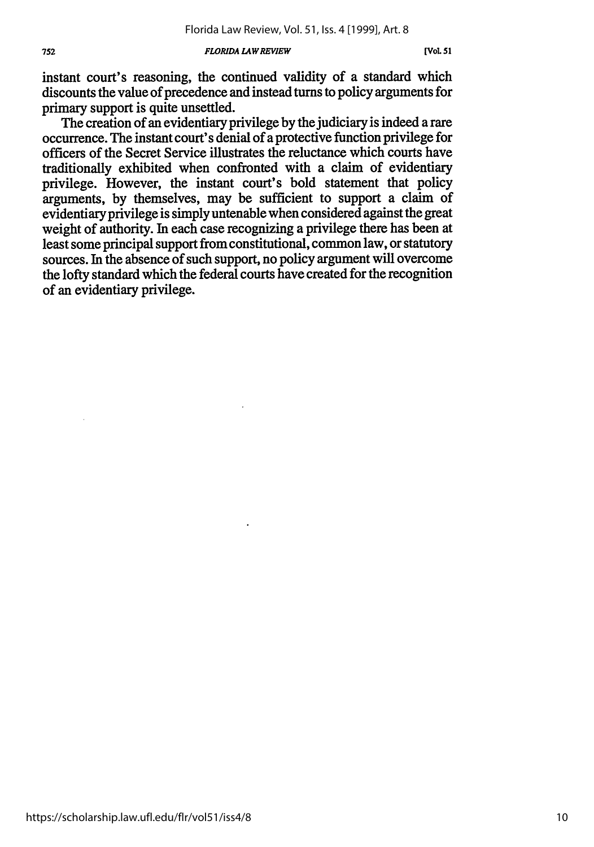#### **752** *FLORIDA LAWREVIEW* **[VoL 51**

instant court's reasoning, the continued validity of a standard which discounts the value of precedence and instead turns to policy arguments for primary support is quite unsettled.

The creation of an evidentiary privilege by the judiciary is indeed a rare occurrence. The instant court's denial of a protective function privilege for officers of the Secret Service illustrates the reluctance which courts have traditionally exhibited when confronted with a claim of evidentiary privilege. However, the instant court's bold statement that policy arguments, by themselves, may be sufficient to support a claim of evidentiary privilege is simply untenable when considered against the great weight of authority. In each case recognizing a privilege there has been at least some principal support from constitutional, common law, or statutory sources. In the absence of such support, no policy argument will overcome the lofty standard which the federal courts have created for the recognition of an evidentiary privilege.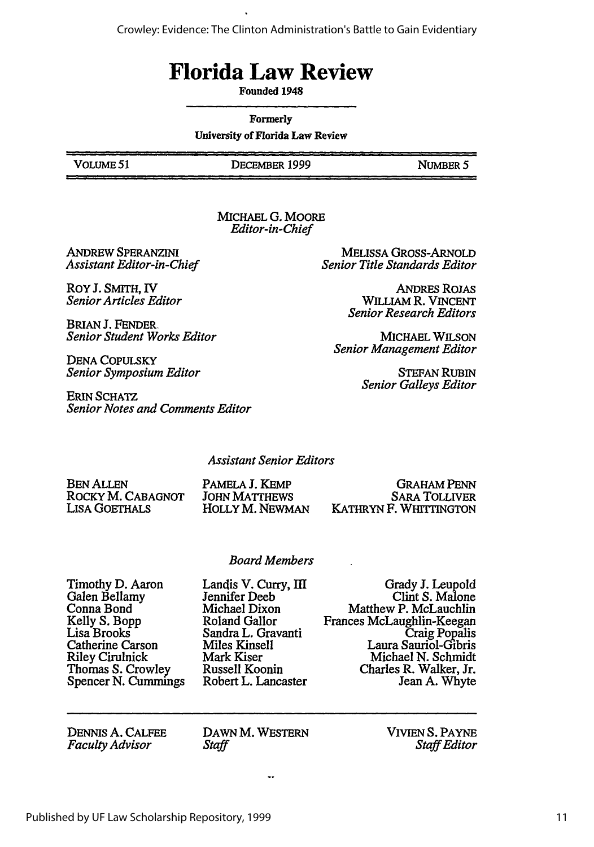Crowley: Evidence: The Clinton Administration's Battle to Gain Evidentiary

# **Florida Law Review**

Founded 1948

Formerly

University of Florida Law Review

VOLUME 51 **DECEMBER 1999** NUMBER **5**

MICHAEL **G.** MOORE *Editor-in-Chief*

ANDREW SPERANZINI *Assistant Editor-in-Chief*

RoY **J.** SMITH, IV *Senior Articles Editor*

BRIAN **J.** FENDER, *Senior Student Works Editor*

DENA COPULSKY *Senior Symposium Editor*

ERIN **SCHATZ** *Senior Notes and Comments Editor*

MELISSA GROSS-ARNOLD *Senior Title Standards Editor*

> ANDRES RoJAs WILLIAM R. VINCENT *Senior Research Editors*

MICHAEL WILSON *Senior Management Editor*

> STEFAN **RUBIN** *Senior Galleys Editor*

*Assistant Senior Editors*

**BEN ALLEN** ROCKY M. CABAGNOT LISA GOETHALS

PAMELA J. KEMP JOHN MATTHEWS HOLLY M. NEWMAN

GRAHAM PENN SARA TOLLIVER KATHRYN F. WHITTINGTON

#### *Board Members*

Timothy **D.** Aaron Galen Bellamy Conna Bond Kelly S. Bopp Lisa Brooks Catherine Carson Riley Cirulnick Thomas S. Crowley Spencer N. Cummings Landis V. Curry, **III** Jennifer Deeb Michael Dixon Roland Gallor Sandra L. Gravanti Miles Kinsell Mark Kiser Russell Koonin Robert L. Lancaster

Grady **J.** Leupold Clint **S.** Malone Matthew P. McLauchlin Frances McLaughlin-Keegan Craig Popalis Laura Sauriol-Gibris Michael N. Schmidt Charles R. Walker, Jr. Jean **A.** Whyte

DENNIS **A. CALFEE** *Faculty Advisor*

DAWN M. WESTERN *Staff*

VIVIEN **S.** PAYNE *Staff Editor*